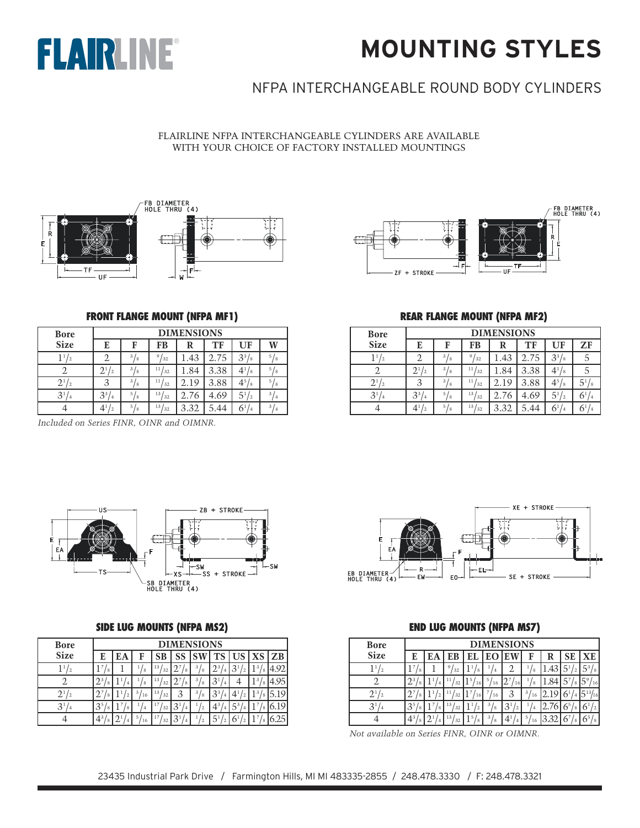

## **MOUNTING STYLES**

## NFPA INTERCHANGEABLE ROUND BODY CYLINDERS

FLAIRLINE NFPA INTERCHANGEABLE CYLINDERS ARE AVAILABLE WITH YOUR CHOICE OF FACTORY INSTALLED MOUNTINGS





#### **FRONT FLANGE MOUNT (NFPA MF1)**

| <b>Bore</b>              |                                   |                     |                       | <b>DIMENSIONS</b> |      |              |                     |
|--------------------------|-----------------------------------|---------------------|-----------------------|-------------------|------|--------------|---------------------|
| <b>Size</b>              | E                                 | F                   | FB                    | R                 | TF   | UF           |                     |
| $^{\prime}$ 2            |                                   | 3l<br>/8            | 9/32                  | .43               | 2.75 | $3^{3}/_8$   | 5<br>8              |
|                          | $2^{\scriptscriptstyle 1}$<br>' 2 | 3 <sub>1</sub><br>8 | 11.<br>32             | .84               | 3.38 | $4^{1}/_{8}$ | 5<br>΄8             |
| $2^{1}$<br>$^{\prime}$ 2 |                                   | 3<br>΄8             | 11.<br>32             | 2.19              | 3.88 | $4^{5}/_8$   | 5<br>΄8             |
| 3 <sup>1</sup><br>14     | 3 <sup>3</sup><br>$^{\prime}$ 4   | 5l<br>18            | 13 <sub>1</sub><br>32 | 2.76              | 4.69 | $5^{1}/_{2}$ | 3<br>$\overline{4}$ |
|                          | 4 <sup>1</sup><br>12              | 5/8                 | 13 <sub>1</sub><br>32 | 3.32              | .44  | $6^{1}/_{4}$ | 3<br>$^{\prime}$ 4  |

*Included on Series FINR, OINR and OIMNR.*

#### **REAR FLANGE MOUNT (NFPA MF2)**

| <b>Bore</b>              |                       | <b>DIMENSIONS</b>    |                       |      |      |              |                      |  |  |  |  |
|--------------------------|-----------------------|----------------------|-----------------------|------|------|--------------|----------------------|--|--|--|--|
| <b>Size</b>              | E                     | F                    | FB                    | R    | ТF   | UF           | ZF                   |  |  |  |  |
| 11<br>$^{\prime}$ 2      | ി                     | 3 <sub>1</sub><br>Ι8 | 9 <sub>1</sub><br>32  | .43  | 2.75 | $3^{3}/_{8}$ | 5                    |  |  |  |  |
| 2                        | $2^{1}$<br>$\sqrt{2}$ | 3l<br>Ι8             | 11/<br>' 32           | .84  | 3.38 | $4^{1}/_{8}$ | 5                    |  |  |  |  |
| $2^{1}$<br>$\frac{1}{2}$ | 3                     | 3l<br>18             | 11 <sub>l</sub><br>32 | 2.19 | 3.88 | $4^{5}/_8$   | 5 <sup>1</sup><br>18 |  |  |  |  |
| 3 <sup>1</sup><br>14     | $3^{3}/_{4}$          | 5.<br>18             | 13/<br>32             | 2.76 | 4.69 | $5^{1}/_{2}$ | $6^{1}/_{4}$         |  |  |  |  |
|                          | $4^{1}/_{2}$          | 5 <sub>1</sub><br>/8 | 13 <sub>l</sub><br>32 | 3.32 | 5.44 | $6^{1}/_{4}$ | $6^{1/4}$            |  |  |  |  |



#### **SIDE LUG MOUNTS (NFPA MS2)**

| <b>Bore</b>                       |                     |        |                |          |                                  | <b>DIMENSIONS</b>   |                                  |          |        |          |
|-----------------------------------|---------------------|--------|----------------|----------|----------------------------------|---------------------|----------------------------------|----------|--------|----------|
| <b>Size</b>                       | E                   | EА     | F              | SВ       | SS                               |                     | TS                               | US       |        | XS ZB    |
|                                   | 8                   |        | 8              | 13<br>32 |                                  | 3 <sub>1</sub><br>8 | 73                               |          | 3<br>8 |          |
| 2                                 | <b>7</b> 3          |        | $^{\circ}8$    | 13<br>32 | 8                                | 3 <sub>1</sub><br>8 | З<br>4                           | 4        | 3<br>8 |          |
| $2^{\scriptscriptstyle{1}}$<br>12 |                     | $^{2}$ | 3<br>16        | 13<br>32 | 3                                | 3l<br>8             | 3 <sup>3</sup><br>$\overline{4}$ |          | 3      |          |
| 3 <sup>1</sup><br>$\overline{4}$  | 3 <sup>5</sup><br>8 | 8      | $\overline{4}$ | 32       | 3 <sup>1</sup><br>$\overline{4}$ |                     | 43<br>$\overline{4}$             | $.5^{3}$ | 8      | 19<br>O. |
| Δ                                 | $4^3$<br>8          |        | 5<br>16        | 32       | 3<br>$\overline{4}$              |                     |                                  |          |        |          |



#### **END LUG MOUNTS (NFPA MS7)**

| <b>Bore</b> |                     |              |          |         |                      | <b>DIMENSIONS</b> |         |      |    |       |
|-------------|---------------------|--------------|----------|---------|----------------------|-------------------|---------|------|----|-------|
| <b>Size</b> | E.                  | ЕA           | EВ       | EL      | EО                   | ΕW                | F       | R    | SЕ | XЕ    |
|             | 8                   |              | 9.<br>32 |         | $\overline{4}$       |                   | 8       |      |    | $5^3$ |
|             | 8                   |              | 32       | 5<br>16 | 5 <sup>7</sup><br>16 | 16                | 8       |      |    | 16    |
| ി           |                     | o            | -1<br>32 | 16      | 16                   | З                 | 3<br>16 |      |    | 16    |
|             | 3 <sup>5</sup><br>8 | $\mathbf{8}$ | 13<br>32 |         | 3 <sub>1</sub><br>8  |                   |         |      |    |       |
|             | $4^3$<br>8          |              | 13<br>32 | 5<br>8  | 3l<br>8              |                   | 16      | 3.32 |    | 6,    |

*Not available on Series FINR, OINR or OIMNR.*

23435 Industrial Park Drive / Farmington Hills, MI MI 483335-2855 / 248.478.3330 / F: 248.478.3321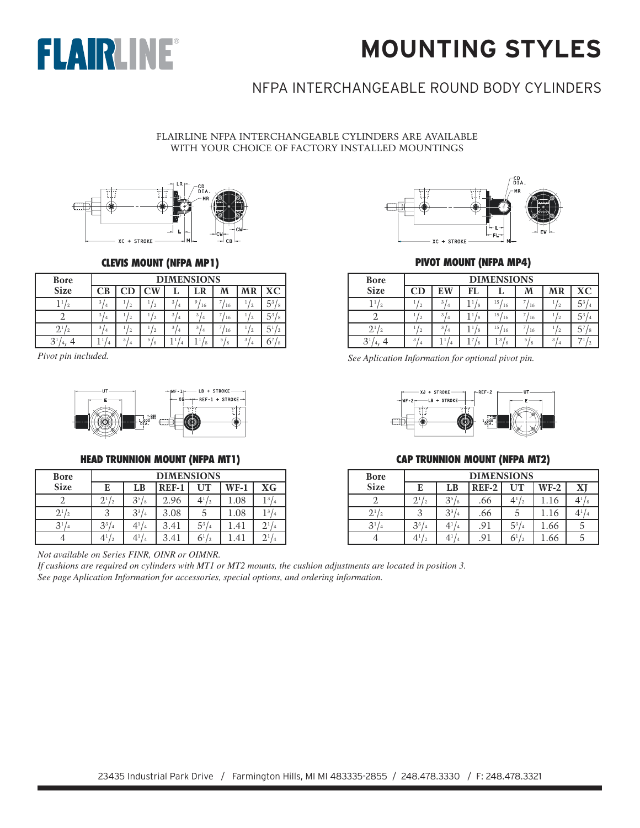



## NFPA INTERCHANGEABLE ROUND BODY CYLINDERS

FLAIRLINE NFPA INTERCHANGEABLE CYLINDERS ARE AVAILABLE WITH YOUR CHOICE OF FACTORY INSTALLED MOUNTINGS



#### **CLEVIS MOUNT (NFPA MP1)**

| <b>Bore</b>    |         | <b>DIMENSIONS</b> |        |  |                     |    |   |    |  |  |  |
|----------------|---------|-------------------|--------|--|---------------------|----|---|----|--|--|--|
| <b>Size</b>    | CВ      | CD                | W      |  | LR                  | M  |   | XС |  |  |  |
|                | 31      |                   | 2      |  | 9<br>16             | 16 |   |    |  |  |  |
|                | 3<br>4  |                   |        |  | 3<br>$\overline{4}$ | 16 |   |    |  |  |  |
|                | 3<br>۰4 |                   |        |  | $\overline{4}$      | 16 |   |    |  |  |  |
| 3 <sup>1</sup> |         | 3<br>4            | 5<br>8 |  |                     | 5  | 3 |    |  |  |  |



#### **HEAD TRUNNION MOUNT (NFPA MT1)**

| <b>Bore</b>    |              | <b>DIMENSIONS</b> |         |                                   |               |                            |  |  |  |  |  |  |
|----------------|--------------|-------------------|---------|-----------------------------------|---------------|----------------------------|--|--|--|--|--|--|
| <b>Size</b>    | E            | LB                | $REF-1$ | UT                                | $WF-1$        | XG                         |  |  |  |  |  |  |
|                | $2^{1/2}$    | $3^{5}/_8$        | 2.96    | $4^{1/2}$                         | 1.08          | 13 <sub>1</sub>            |  |  |  |  |  |  |
| $2^{1/2}$      |              | $3^3/$<br>14      | 3.08    |                                   | 1.08          | 13                         |  |  |  |  |  |  |
| 3 <sup>1</sup> | $3^{3}/_{4}$ | $4^{1}/_{4}$      | 3.41    | $5^{3}/_{4}$                      | 1.41          | $2^{1}$                    |  |  |  |  |  |  |
|                | 41           | 41<br>14          | 3.41    | 6 <sup>1</sup><br>$\overline{12}$ | $\mathcal{A}$ | $2^{\scriptscriptstyle 1}$ |  |  |  |  |  |  |

*Not available on Series FINR, OINR or OIMNR.*

*If cushions are required on cylinders with MT1 or MT2 mounts, the cushion adjustments are located in position 3. See page Aplication Information for accessories, special options, and ordering information.*



#### **PIVOT MOUNT (NFPA MP4)**

| <b>Bore</b> |                      | <b>DIMENSIONS</b>   |    |                       |      |      |    |  |  |  |  |  |  |  |  |  |  |  |  |
|-------------|----------------------|---------------------|----|-----------------------|------|------|----|--|--|--|--|--|--|--|--|--|--|--|--|
| <b>Size</b> | $\mathbf C\mathbf D$ | EW                  | FL |                       | M    | MR   | XС |  |  |  |  |  |  |  |  |  |  |  |  |
|             |                      | 3<br>$^{\prime}$ 4  |    | 15 <sub>1</sub><br>16 | 16   |      |    |  |  |  |  |  |  |  |  |  |  |  |  |
|             |                      | 3<br>$\overline{4}$ |    | 15<br><sup>16</sup>   | 16   | ' 2. |    |  |  |  |  |  |  |  |  |  |  |  |  |
|             |                      | 3<br>' 4            |    | 15<br>16              | / 16 |      |    |  |  |  |  |  |  |  |  |  |  |  |  |
| O           | 3                    |                     |    |                       | 5    | 3    |    |  |  |  |  |  |  |  |  |  |  |  |  |

*Pivot pin included. See Aplication Information for optional pivot pin.*



#### **CAP TRUNNION MOUNT (NFPA MT2)**

| <b>Bore</b>          |              | <b>DIMENSIONS</b> |              |              |        |                |  |  |  |  |
|----------------------|--------------|-------------------|--------------|--------------|--------|----------------|--|--|--|--|
| <b>Size</b>          | E            | LB                | <b>REF-2</b> | UT           | $WF-2$ | XI             |  |  |  |  |
|                      | $2^{1/2}$    | $3^{5}/\!$        | .66          | $4^{1/2}$    | .16    | $4^{1}/_8$     |  |  |  |  |
| 2 <sup>1</sup><br>19 |              | $3^{3}/_{4}$      | .66          | C            | 1.16   | 4 <sup>1</sup> |  |  |  |  |
| $3^{1/4}$            | $3^{3}/_{4}$ | $4^{1}/_{4}$      | .91          | $5^{3}/_{4}$ | 1.66   | 5              |  |  |  |  |
|                      | $4^{1/2}$    | $4^{1}/_{4}$      | .91          | $6^{1/2}$    | .66    | 5              |  |  |  |  |